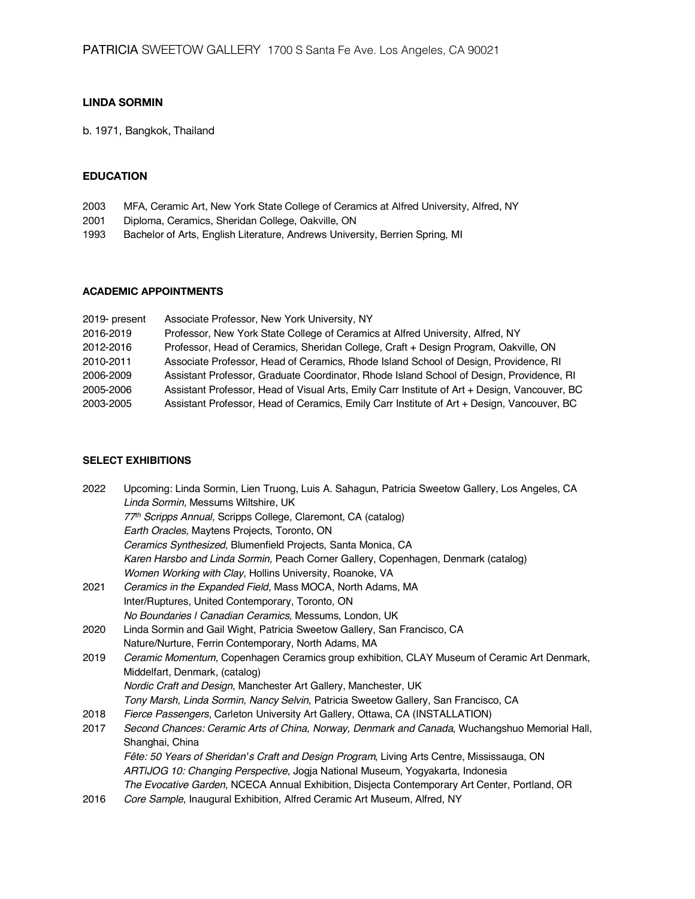# **LINDA SORMIN**

b. 1971, Bangkok, Thailand

## **EDUCATION**

- 2003 MFA, Ceramic Art, New York State College of Ceramics at Alfred University, Alfred, NY
- 2001 Diploma, Ceramics, Sheridan College, Oakville, ON
- 1993 Bachelor of Arts, English Literature, Andrews University, Berrien Spring, MI

### **ACADEMIC APPOINTMENTS**

| 2019- present | Associate Professor, New York University, NY                                                  |
|---------------|-----------------------------------------------------------------------------------------------|
| 2016-2019     | Professor, New York State College of Ceramics at Alfred University, Alfred, NY                |
| 2012-2016     | Professor, Head of Ceramics, Sheridan College, Craft + Design Program, Oakville, ON           |
| 2010-2011     | Associate Professor, Head of Ceramics, Rhode Island School of Design, Providence, RI          |
| 2006-2009     | Assistant Professor, Graduate Coordinator, Rhode Island School of Design, Providence, RI      |
| 2005-2006     | Assistant Professor, Head of Visual Arts, Emily Carr Institute of Art + Design, Vancouver, BC |
| 2003-2005     | Assistant Professor, Head of Ceramics, Emily Carr Institute of Art + Design, Vancouver, BC    |

# **SELECT EXHIBITIONS**

| Upcoming: Linda Sormin, Lien Truong, Luis A. Sahagun, Patricia Sweetow Gallery, Los Angeles, CA |
|-------------------------------------------------------------------------------------------------|
| Linda Sormin, Messums Wiltshire, UK                                                             |
| 77th Scripps Annual, Scripps College, Claremont, CA (catalog)                                   |
| Earth Oracles, Maytens Projects, Toronto, ON                                                    |
| Ceramics Synthesized, Blumenfield Projects, Santa Monica, CA                                    |
| Karen Harsbo and Linda Sormin, Peach Corner Gallery, Copenhagen, Denmark (catalog)              |
| Women Working with Clay, Hollins University, Roanoke, VA                                        |
| Ceramics in the Expanded Field, Mass MOCA, North Adams, MA                                      |
| Inter/Ruptures, United Contemporary, Toronto, ON                                                |
| No Boundaries I Canadian Ceramics, Messums, London, UK                                          |
| Linda Sormin and Gail Wight, Patricia Sweetow Gallery, San Francisco, CA                        |
| Nature/Nurture, Ferrin Contemporary, North Adams, MA                                            |
| Ceramic Momentum, Copenhagen Ceramics group exhibition, CLAY Museum of Ceramic Art Denmark,     |
| Middelfart, Denmark, (catalog)                                                                  |
| Nordic Craft and Design, Manchester Art Gallery, Manchester, UK                                 |
| Tony Marsh, Linda Sormin, Nancy Selvin, Patricia Sweetow Gallery, San Francisco, CA             |
| Fierce Passengers, Carleton University Art Gallery, Ottawa, CA (INSTALLATION)                   |
| Second Chances: Ceramic Arts of China, Norway, Denmark and Canada, Wuchangshuo Memorial Hall,   |
| Shanghai, China                                                                                 |
| Fête: 50 Years of Sheridan's Craft and Design Program, Living Arts Centre, Mississauga, ON      |
| ARTIJOG 10: Changing Perspective, Jogja National Museum, Yogyakarta, Indonesia                  |
| The Evocative Garden, NCECA Annual Exhibition, Disjecta Contemporary Art Center, Portland, OR   |
| Core Sample, Inaugural Exhibition, Alfred Ceramic Art Museum, Alfred, NY                        |
|                                                                                                 |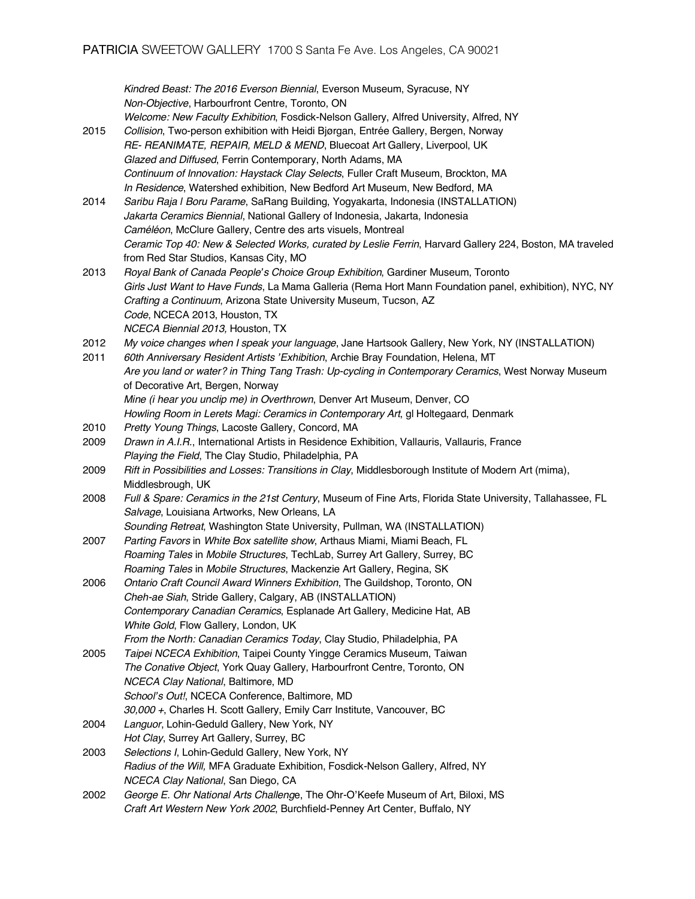*Kindred Beast: The 2016 Everson Biennial*, Everson Museum, Syracuse, NY *Non-Objective*, Harbourfront Centre, Toronto, ON *Welcome: New Faculty Exhibition*, Fosdick-Nelson Gallery, Alfred University, Alfred, NY 2015 *Collision*, Two-person exhibition with Heidi Bjørgan, Entrée Gallery, Bergen, Norway *RE- REANIMATE, REPAIR, MELD & MEND*, Bluecoat Art Gallery, Liverpool, UK *Glazed and Diffused*, Ferrin Contemporary, North Adams, MA *Continuum of Innovation: Haystack Clay Selects*, Fuller Craft Museum, Brockton, MA *In Residence*, Watershed exhibition, New Bedford Art Museum, New Bedford, MA 2014 *Saribu Raja | Boru Parame*, SaRang Building, Yogyakarta, Indonesia (INSTALLATION) *Jakarta Ceramics Biennial*, National Gallery of Indonesia, Jakarta, Indonesia *Caméléon*, McClure Gallery, Centre des arts visuels, Montreal *Ceramic Top 40: New & Selected Works, curated by Leslie Ferrin*, Harvard Gallery 224, Boston, MA traveled from Red Star Studios, Kansas City, MO 2013 *Royal Bank of Canada People's Choice Group Exhibition*, Gardiner Museum, Toronto *Girls Just Want to Have Funds*, La Mama Galleria (Rema Hort Mann Foundation panel, exhibition), NYC, NY *Crafting a Continuum*, Arizona State University Museum, Tucson, AZ *Code*, NCECA 2013, Houston, TX *NCECA Biennial 2013,* Houston, TX 2012 *My voice changes when I speak your language*, Jane Hartsook Gallery, New York, NY (INSTALLATION) 2011 *60th Anniversary Resident Artists 'Exhibition*, Archie Bray Foundation, Helena, MT *Are you land or water? in Thing Tang Trash: Up-cycling in Contemporary Ceramics*, West Norway Museum of Decorative Art, Bergen, Norway *Mine (i hear you unclip me) in Overthrown*, Denver Art Museum, Denver, CO *Howling Room in Lerets Magi: Ceramics in Contemporary Art*, gl Holtegaard, Denmark 2010 *Pretty Young Things*, Lacoste Gallery, Concord, MA 2009 *Drawn in A.I.R.*, International Artists in Residence Exhibition, Vallauris, Vallauris, France *Playing the Field*, The Clay Studio, Philadelphia, PA 2009 *Rift in Possibilities and Losses: Transitions in Clay*, Middlesborough Institute of Modern Art (mima), Middlesbrough, UK 2008 *Full & Spare: Ceramics in the 21st Century*, Museum of Fine Arts, Florida State University, Tallahassee, FL *Salvage*, Louisiana Artworks, New Orleans, LA *Sounding Retreat*, Washington State University, Pullman, WA (INSTALLATION) 2007 *Parting Favors* in *White Box satellite show*, Arthaus Miami, Miami Beach, FL *Roaming Tales* in *Mobile Structures*, TechLab, Surrey Art Gallery, Surrey, BC *Roaming Tales* in *Mobile Structures*, Mackenzie Art Gallery, Regina, SK 2006 *Ontario Craft Council Award Winners Exhibition*, The Guildshop, Toronto, ON *Cheh-ae Siah*, Stride Gallery, Calgary, AB (INSTALLATION) *Contemporary Canadian Ceramics*, Esplanade Art Gallery, Medicine Hat, AB *White Gold*, Flow Gallery, London, UK *From the North: Canadian Ceramics Today*, Clay Studio, Philadelphia, PA 2005 *Taipei NCECA Exhibition*, Taipei County Yingge Ceramics Museum, Taiwan *The Conative Object*, York Quay Gallery, Harbourfront Centre, Toronto, ON *NCECA Clay National*, Baltimore, MD *School's Out!*, NCECA Conference, Baltimore, MD *30,000 +*, Charles H. Scott Gallery, Emily Carr Institute, Vancouver, BC 2004 *Languor*, Lohin-Geduld Gallery, New York, NY *Hot Clay*, Surrey Art Gallery, Surrey, BC 2003 *Selections I*, Lohin-Geduld Gallery, New York, NY *Radius of the Will,* MFA Graduate Exhibition, Fosdick-Nelson Gallery, Alfred, NY *NCECA Clay National*, San Diego, CA 2002 *George E. Ohr National Arts Challeng*e, The Ohr-O'Keefe Museum of Art, Biloxi, MS *Craft Art Western New York 2002*, Burchfield-Penney Art Center, Buffalo, NY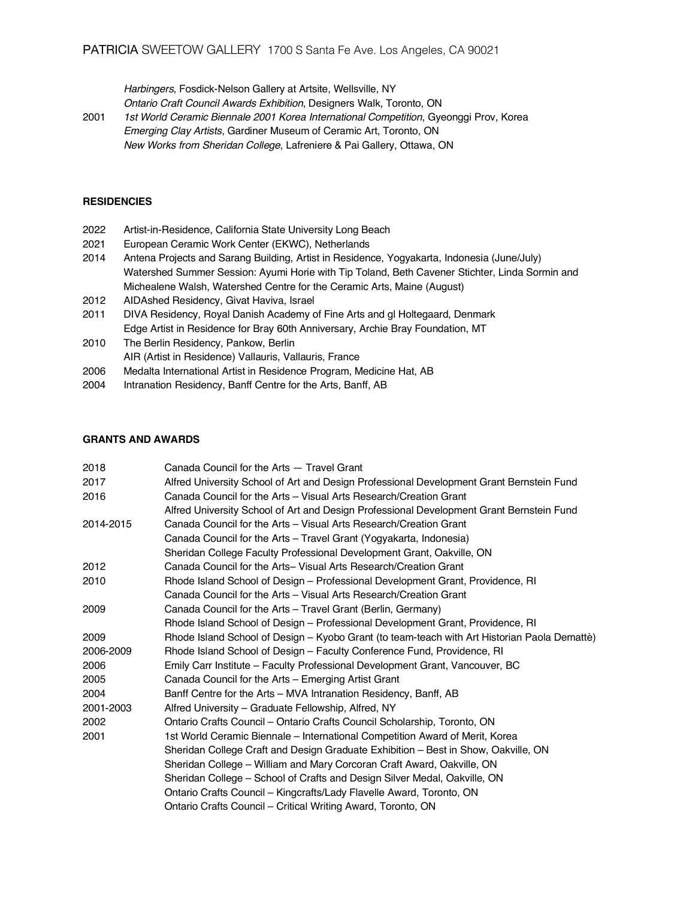*Harbingers*, Fosdick-Nelson Gallery at Artsite, Wellsville, NY *Ontario Craft Council Awards Exhibition*, Designers Walk, Toronto, ON

2001 *1st World Ceramic Biennale 2001 Korea International Competition*, Gyeonggi Prov, Korea *Emerging Clay Artists*, Gardiner Museum of Ceramic Art, Toronto, ON *New Works from Sheridan College*, Lafreniere & Pai Gallery, Ottawa, ON

### **RESIDENCIES**

- 2022 Artist-in-Residence, California State University Long Beach
- 2021 European Ceramic Work Center (EKWC), Netherlands
- 2014 Antena Projects and Sarang Building, Artist in Residence, Yogyakarta, Indonesia (June/July) Watershed Summer Session: Ayumi Horie with Tip Toland, Beth Cavener Stichter, Linda Sormin and Michealene Walsh, Watershed Centre for the Ceramic Arts, Maine (August)
- 2012 AIDAshed Residency, Givat Haviva, Israel
- 2011 DIVA Residency, Royal Danish Academy of Fine Arts and gl Holtegaard, Denmark Edge Artist in Residence for Bray 60th Anniversary, Archie Bray Foundation, MT
- 2010 The Berlin Residency, Pankow, Berlin AIR (Artist in Residence) Vallauris, Vallauris, France
- 2006 Medalta International Artist in Residence Program, Medicine Hat, AB
- 2004 Intranation Residency, Banff Centre for the Arts, Banff, AB

### **GRANTS AND AWARDS**

| 2018      | Canada Council for the Arts - Travel Grant                                                   |
|-----------|----------------------------------------------------------------------------------------------|
| 2017      | Alfred University School of Art and Design Professional Development Grant Bernstein Fund     |
| 2016      | Canada Council for the Arts - Visual Arts Research/Creation Grant                            |
|           | Alfred University School of Art and Design Professional Development Grant Bernstein Fund     |
| 2014-2015 | Canada Council for the Arts - Visual Arts Research/Creation Grant                            |
|           | Canada Council for the Arts - Travel Grant (Yogyakarta, Indonesia)                           |
|           | Sheridan College Faculty Professional Development Grant, Oakville, ON                        |
| 2012      | Canada Council for the Arts- Visual Arts Research/Creation Grant                             |
| 2010      | Rhode Island School of Design - Professional Development Grant, Providence, RI               |
|           | Canada Council for the Arts - Visual Arts Research/Creation Grant                            |
| 2009      | Canada Council for the Arts - Travel Grant (Berlin, Germany)                                 |
|           | Rhode Island School of Design - Professional Development Grant, Providence, RI               |
| 2009      | Rhode Island School of Design – Kyobo Grant (to team-teach with Art Historian Paola Demattè) |
| 2006-2009 | Rhode Island School of Design – Faculty Conference Fund, Providence, RI                      |
| 2006      | Emily Carr Institute – Faculty Professional Development Grant, Vancouver, BC                 |
| 2005      | Canada Council for the Arts - Emerging Artist Grant                                          |
| 2004      | Banff Centre for the Arts - MVA Intranation Residency, Banff, AB                             |
| 2001-2003 | Alfred University - Graduate Fellowship, Alfred, NY                                          |
| 2002      | Ontario Crafts Council - Ontario Crafts Council Scholarship, Toronto, ON                     |
| 2001      | 1st World Ceramic Biennale – International Competition Award of Merit, Korea                 |
|           | Sheridan College Craft and Design Graduate Exhibition – Best in Show, Oakville, ON           |
|           | Sheridan College - William and Mary Corcoran Craft Award, Oakville, ON                       |
|           | Sheridan College - School of Crafts and Design Silver Medal, Oakville, ON                    |
|           | Ontario Crafts Council - Kingcrafts/Lady Flavelle Award, Toronto, ON                         |
|           | Ontario Crafts Council – Critical Writing Award, Toronto, ON                                 |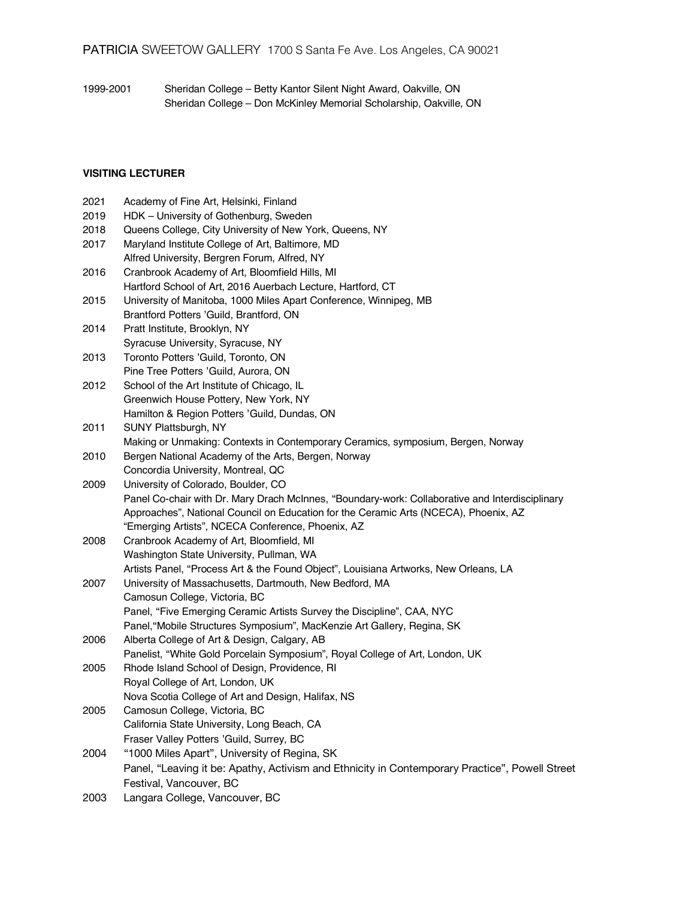1999-2001 Sheridan College – Betty Kantor Silent Night Award, Oakville, ON Sheridan College – Don McKinley Memorial Scholarship, Oakville, ON

# **VISITING LECTURER**

| 2021 | Academy of Fine Art, Helsinki, Finland                                                          |
|------|-------------------------------------------------------------------------------------------------|
| 2019 | HDK - University of Gothenburg, Sweden                                                          |
| 2018 | Queens College, City University of New York, Queens, NY                                         |
| 2017 | Maryland Institute College of Art, Baltimore, MD                                                |
|      | Alfred University, Bergren Forum, Alfred, NY                                                    |
| 2016 | Cranbrook Academy of Art, Bloomfield Hills, MI                                                  |
|      | Hartford School of Art, 2016 Auerbach Lecture, Hartford, CT                                     |
| 2015 | University of Manitoba, 1000 Miles Apart Conference, Winnipeg, MB                               |
|      | Brantford Potters 'Guild, Brantford, ON                                                         |
| 2014 | Pratt Institute, Brooklyn, NY                                                                   |
|      | Syracuse University, Syracuse, NY                                                               |
| 2013 | Toronto Potters 'Guild, Toronto, ON                                                             |
|      | Pine Tree Potters 'Guild, Aurora, ON                                                            |
| 2012 | School of the Art Institute of Chicago, IL                                                      |
|      | Greenwich House Pottery, New York, NY                                                           |
|      | Hamilton & Region Potters 'Guild, Dundas, ON                                                    |
| 2011 | SUNY Plattsburgh, NY                                                                            |
|      | Making or Unmaking: Contexts in Contemporary Ceramics, symposium, Bergen, Norway                |
| 2010 | Bergen National Academy of the Arts, Bergen, Norway                                             |
|      | Concordia University, Montreal, QC                                                              |
| 2009 | University of Colorado, Boulder, CO                                                             |
|      | Panel Co-chair with Dr. Mary Drach McInnes, "Boundary-work: Collaborative and Interdisciplinary |
|      | Approaches", National Council on Education for the Ceramic Arts (NCECA), Phoenix, AZ            |
|      | "Emerging Artists", NCECA Conference, Phoenix, AZ                                               |
| 2008 | Cranbrook Academy of Art, Bloomfield, MI                                                        |
|      | Washington State University, Pullman, WA                                                        |
|      | Artists Panel, "Process Art & the Found Object", Louisiana Artworks, New Orleans, LA            |
| 2007 | University of Massachusetts, Dartmouth, New Bedford, MA                                         |
|      | Camosun College, Victoria, BC                                                                   |
|      | Panel, "Five Emerging Ceramic Artists Survey the Discipline", CAA, NYC                          |
|      | Panel, "Mobile Structures Symposium", MacKenzie Art Gallery, Regina, SK                         |
| 2006 | Alberta College of Art & Design, Calgary, AB                                                    |
|      | Panelist, "White Gold Porcelain Symposium", Royal College of Art, London, UK                    |
| 2005 | Rhode Island School of Design, Providence, RI                                                   |
|      | Royal College of Art, London, UK                                                                |
|      | Nova Scotia College of Art and Design, Halifax, NS                                              |
| 2005 | Camosun College, Victoria, BC                                                                   |
|      | California State University, Long Beach, CA                                                     |
|      | Fraser Valley Potters 'Guild, Surrey, BC                                                        |
| 2004 | "1000 Miles Apart", University of Regina, SK                                                    |
|      | Panel, "Leaving it be: Apathy, Activism and Ethnicity in Contemporary Practice", Powell Street  |
|      | Festival, Vancouver, BC                                                                         |
| 2003 | Langara College, Vancouver, BC                                                                  |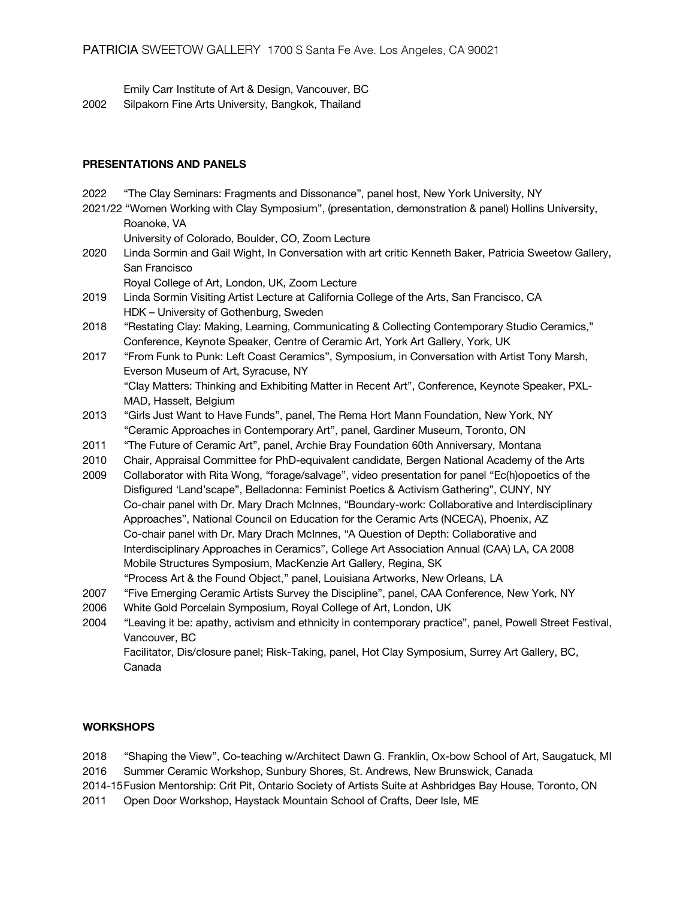Emily Carr Institute of Art & Design, Vancouver, BC 2002 Silpakorn Fine Arts University, Bangkok, Thailand

## **PRESENTATIONS AND PANELS**

- 2022 "The Clay Seminars: Fragments and Dissonance", panel host, New York University, NY
- 2021/22 "Women Working with Clay Symposium", (presentation, demonstration & panel) Hollins University, Roanoke, VA

University of Colorado, Boulder, CO, Zoom Lecture

2020 Linda Sormin and Gail Wight, In Conversation with art critic Kenneth Baker, Patricia Sweetow Gallery, San Francisco

Royal College of Art, London, UK, Zoom Lecture

- 2019 Linda Sormin Visiting Artist Lecture at California College of the Arts, San Francisco, CA HDK – University of Gothenburg, Sweden
- 2018 "Restating Clay: Making, Learning, Communicating & Collecting Contemporary Studio Ceramics," Conference, Keynote Speaker, Centre of Ceramic Art, York Art Gallery, York, UK
- 2017 "From Funk to Punk: Left Coast Ceramics", Symposium, in Conversation with Artist Tony Marsh, Everson Museum of Art, Syracuse, NY "Clay Matters: Thinking and Exhibiting Matter in Recent Art", Conference, Keynote Speaker, PXL-MAD, Hasselt, Belgium
- 2013 "Girls Just Want to Have Funds", panel, The Rema Hort Mann Foundation, New York, NY "Ceramic Approaches in Contemporary Art", panel, Gardiner Museum, Toronto, ON
- 2011 "The Future of Ceramic Art", panel, Archie Bray Foundation 60th Anniversary, Montana
- 2010 Chair, Appraisal Committee for PhD-equivalent candidate, Bergen National Academy of the Arts
- 2009 Collaborator with Rita Wong, "forage/salvage", video presentation for panel "Ec(h)opoetics of the Disfigured 'Land'scape", Belladonna: Feminist Poetics & Activism Gathering", CUNY, NY Co-chair panel with Dr. Mary Drach McInnes, "Boundary-work: Collaborative and Interdisciplinary Approaches", National Council on Education for the Ceramic Arts (NCECA), Phoenix, AZ Co-chair panel with Dr. Mary Drach McInnes, "A Question of Depth: Collaborative and Interdisciplinary Approaches in Ceramics", College Art Association Annual (CAA) LA, CA 2008 Mobile Structures Symposium, MacKenzie Art Gallery, Regina, SK
- "Process Art & the Found Object," panel, Louisiana Artworks, New Orleans, LA
- 2007 "Five Emerging Ceramic Artists Survey the Discipline", panel, CAA Conference, New York, NY
- 2006 White Gold Porcelain Symposium, Royal College of Art, London, UK
- 2004 "Leaving it be: apathy, activism and ethnicity in contemporary practice", panel, Powell Street Festival, Vancouver, BC

Facilitator, Dis/closure panel; Risk-Taking, panel, Hot Clay Symposium, Surrey Art Gallery, BC, Canada

# **WORKSHOPS**

2018 "Shaping the View", Co-teaching w/Architect Dawn G. Franklin, Ox-bow School of Art, Saugatuck, MI 2016 Summer Ceramic Workshop, Sunbury Shores, St. Andrews, New Brunswick, Canada

2014-15Fusion Mentorship: Crit Pit, Ontario Society of Artists Suite at Ashbridges Bay House, Toronto, ON

2011 Open Door Workshop, Haystack Mountain School of Crafts, Deer Isle, ME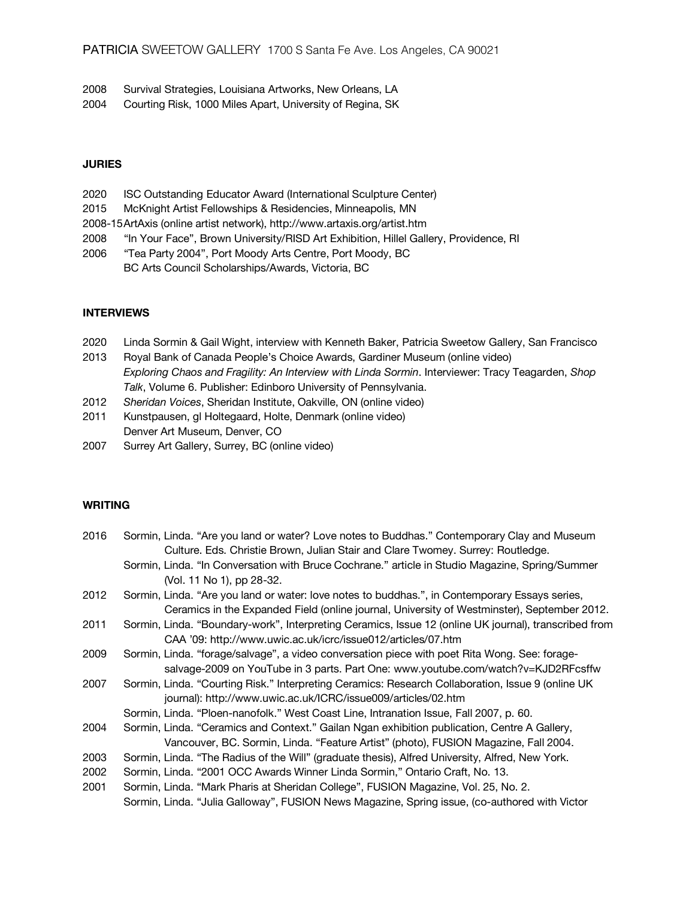- 2008 Survival Strategies, Louisiana Artworks, New Orleans, LA
- 2004 Courting Risk, 1000 Miles Apart, University of Regina, SK

### **JURIES**

- 2020 ISC Outstanding Educator Award (International Sculpture Center)
- 2015 McKnight Artist Fellowships & Residencies, Minneapolis, MN
- 2008-15ArtAxis (online artist network), http://www.artaxis.org/artist.htm
- 2008 "In Your Face", Brown University/RISD Art Exhibition, Hillel Gallery, Providence, RI
- 2006 "Tea Party 2004", Port Moody Arts Centre, Port Moody, BC BC Arts Council Scholarships/Awards, Victoria, BC

# **INTERVIEWS**

- 2020 Linda Sormin & Gail Wight, interview with Kenneth Baker, Patricia Sweetow Gallery, San Francisco
- 2013 Royal Bank of Canada People's Choice Awards, Gardiner Museum (online video) *Exploring Chaos and Fragility: An Interview with Linda Sormin*. Interviewer: Tracy Teagarden, *Shop Talk*, Volume 6. Publisher: Edinboro University of Pennsylvania.
- 2012 *Sheridan Voices*, Sheridan Institute, Oakville, ON (online video)
- 2011 Kunstpausen, gl Holtegaard, Holte, Denmark (online video) Denver Art Museum, Denver, CO
- 2007 Surrey Art Gallery, Surrey, BC (online video)

## **WRITING**

| 2016 | Sormin, Linda. "Are you land or water? Love notes to Buddhas." Contemporary Clay and Museum           |
|------|-------------------------------------------------------------------------------------------------------|
|      | Culture. Eds. Christie Brown, Julian Stair and Clare Twomey. Surrey: Routledge.                       |
|      | Sormin, Linda. "In Conversation with Bruce Cochrane." article in Studio Magazine, Spring/Summer       |
|      | (Vol. 11 No 1), pp 28-32.                                                                             |
| 2012 | Sormin, Linda. "Are you land or water: love notes to buddhas.", in Contemporary Essays series,        |
|      | Ceramics in the Expanded Field (online journal, University of Westminster), September 2012.           |
| 2011 | Sormin, Linda. "Boundary-work", Interpreting Ceramics, Issue 12 (online UK journal), transcribed from |
|      | CAA '09: http://www.uwic.ac.uk/icrc/issue012/articles/07.htm                                          |
| 2009 | Sormin, Linda. "forage/salvage", a video conversation piece with poet Rita Wong. See: forage-         |
|      | salvage-2009 on YouTube in 3 parts. Part One: www.youtube.com/watch?v=KJD2RFcsffw                     |
| 2007 | Sormin, Linda. "Courting Risk." Interpreting Ceramics: Research Collaboration, Issue 9 (online UK     |
|      | journal): http://www.uwic.ac.uk/ICRC/issue009/articles/02.htm                                         |
|      | Sormin, Linda. "Ploen-nanofolk." West Coast Line, Intranation Issue, Fall 2007, p. 60.                |
| 2004 | Sormin, Linda. "Ceramics and Context." Gailan Ngan exhibition publication, Centre A Gallery,          |
|      | Vancouver, BC. Sormin, Linda. "Feature Artist" (photo), FUSION Magazine, Fall 2004.                   |
| 2003 | Sormin, Linda. "The Radius of the Will" (graduate thesis), Alfred University, Alfred, New York.       |
| 2002 | Sormin, Linda. "2001 OCC Awards Winner Linda Sormin," Ontario Craft, No. 13.                          |
| 2001 | Sormin, Linda. "Mark Pharis at Sheridan College", FUSION Magazine, Vol. 25, No. 2.                    |
|      | Sormin, Linda. "Julia Galloway", FUSION News Magazine, Spring issue, (co-authored with Victor         |
|      |                                                                                                       |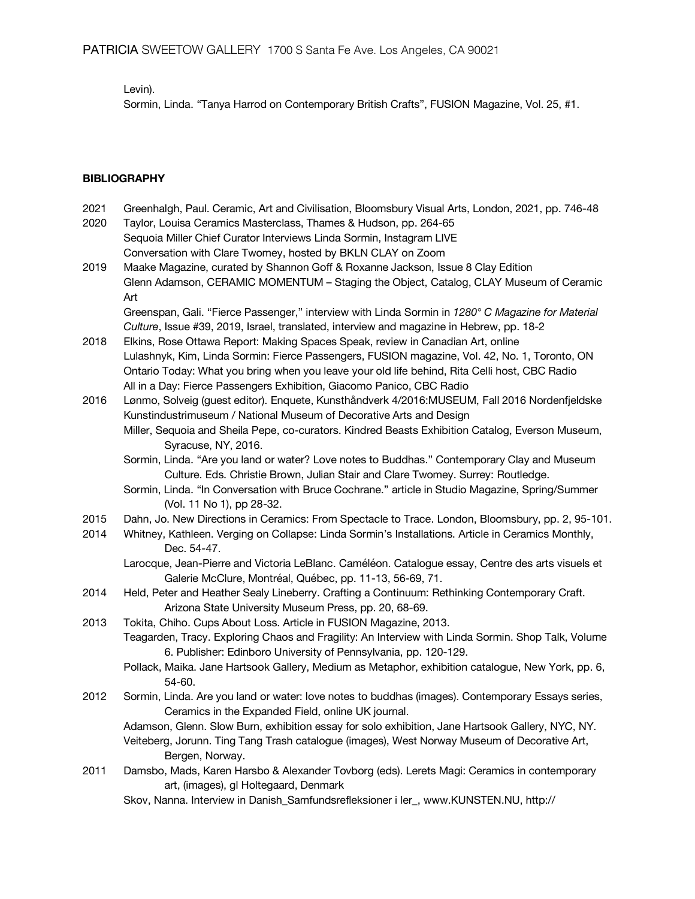Levin).

Sormin, Linda. "Tanya Harrod on Contemporary British Crafts", FUSION Magazine, Vol. 25, #1.

# **BIBLIOGRAPHY**

- 2021 Greenhalgh, Paul. Ceramic, Art and Civilisation, Bloomsbury Visual Arts, London, 2021, pp. 746-48
- 2020 Taylor, Louisa Ceramics Masterclass, Thames & Hudson, pp. 264-65 Sequoia Miller Chief Curator Interviews Linda Sormin, Instagram LIVE Conversation with Clare Twomey, hosted by BKLN CLAY on Zoom
- 2019 Maake Magazine, curated by Shannon Goff & Roxanne Jackson, Issue 8 Clay Edition Glenn Adamson, CERAMIC MOMENTUM – Staging the Object, Catalog, CLAY Museum of Ceramic Art

Greenspan, Gali. "Fierce Passenger," interview with Linda Sormin in *1280° C Magazine for Material Culture*, Issue #39, 2019, Israel, translated, interview and magazine in Hebrew, pp. 18-2

- 2018 Elkins, Rose Ottawa Report: Making Spaces Speak, review in Canadian Art, online Lulashnyk, Kim, Linda Sormin: Fierce Passengers, FUSION magazine, Vol. 42, No. 1, Toronto, ON Ontario Today: What you bring when you leave your old life behind, Rita Celli host, CBC Radio All in a Day: Fierce Passengers Exhibition, Giacomo Panico, CBC Radio
- 2016 Lønmo, Solveig (guest editor). Enquete, Kunsthåndverk 4/2016:MUSEUM, Fall 2016 Nordenfjeldske Kunstindustrimuseum / National Museum of Decorative Arts and Design
	- Miller, Sequoia and Sheila Pepe, co-curators. Kindred Beasts Exhibition Catalog, Everson Museum, Syracuse, NY, 2016.
	- Sormin, Linda. "Are you land or water? Love notes to Buddhas." Contemporary Clay and Museum Culture. Eds. Christie Brown, Julian Stair and Clare Twomey. Surrey: Routledge.
	- Sormin, Linda. "In Conversation with Bruce Cochrane." article in Studio Magazine, Spring/Summer (Vol. 11 No 1), pp 28-32.
- 2015 Dahn, Jo. New Directions in Ceramics: From Spectacle to Trace. London, Bloomsbury, pp. 2, 95-101.
- 2014 Whitney, Kathleen. Verging on Collapse: Linda Sormin's Installations. Article in Ceramics Monthly, Dec. 54-47.
	- Larocque, Jean-Pierre and Victoria LeBlanc. Caméléon. Catalogue essay, Centre des arts visuels et Galerie McClure, Montréal, Québec, pp. 11-13, 56-69, 71.
- 2014 Held, Peter and Heather Sealy Lineberry. Crafting a Continuum: Rethinking Contemporary Craft. Arizona State University Museum Press, pp. 20, 68-69.
- 2013 Tokita, Chiho. Cups About Loss. Article in FUSION Magazine, 2013.
	- Teagarden, Tracy. Exploring Chaos and Fragility: An Interview with Linda Sormin. Shop Talk, Volume 6. Publisher: Edinboro University of Pennsylvania, pp. 120-129.
		- Pollack, Maika. Jane Hartsook Gallery, Medium as Metaphor, exhibition catalogue, New York, pp. 6, 54-60.
- 2012 Sormin, Linda. Are you land or water: love notes to buddhas (images). Contemporary Essays series, Ceramics in the Expanded Field, online UK journal.

Adamson, Glenn. Slow Burn, exhibition essay for solo exhibition, Jane Hartsook Gallery, NYC, NY. Veiteberg, Jorunn. Ting Tang Trash catalogue (images), West Norway Museum of Decorative Art, Bergen, Norway.

- 2011 Damsbo, Mads, Karen Harsbo & Alexander Tovborg (eds). Lerets Magi: Ceramics in contemporary art, (images), gl Holtegaard, Denmark
	- Skov, Nanna. Interview in Danish\_Samfundsrefleksioner i ler\_, www.KUNSTEN.NU, http://